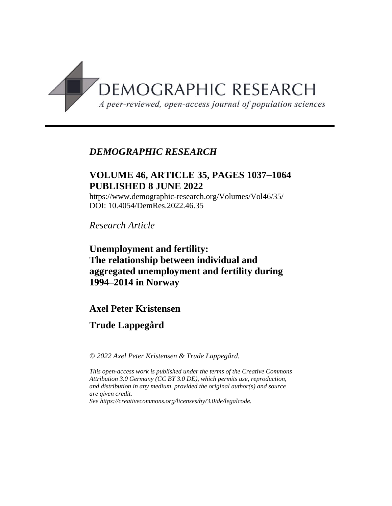

# *DEMOGRAPHIC RESEARCH*

# **VOLUME 46, ARTICLE 35, PAGES 10371064 PUBLISHED 8 JUNE 2022**

https://www.demographic-research.org/Volumes/Vol46/35/ DOI: 10.4054/DemRes.2022.46.35

*Research Article*

**Unemployment and fertility: The relationship between individual and aggregated unemployment and fertility during 1994–2014 in Norway**

# **Axel Peter Kristensen**

# **Trude Lappegård**

*© 2022 Axel Peter Kristensen & Trude Lappegård.*

*This open-access work is published under the terms of the Creative Commons Attribution 3.0 Germany (CC BY 3.0 DE), which permits use, reproduction, and distribution in any medium, provided the original author(s) and source are given credit.*

*See [https://creativecommons.org/licenses/by/3.0/de/legalcode.](https://creativecommons.org/licenses/by/3.0/de/legalcode)*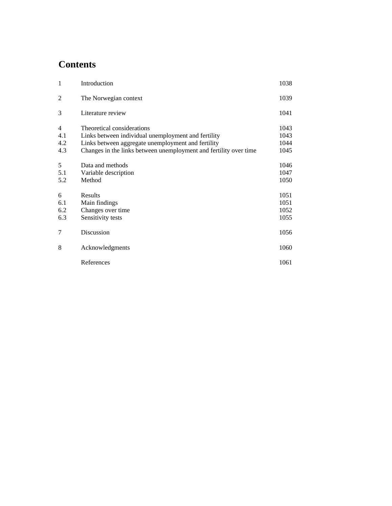# **Contents**

| $\mathbf{1}$                        | Introduction                                                                                                                                                                                                 | 1038                         |
|-------------------------------------|--------------------------------------------------------------------------------------------------------------------------------------------------------------------------------------------------------------|------------------------------|
| 2                                   | The Norwegian context                                                                                                                                                                                        | 1039                         |
| 3                                   | Literature review                                                                                                                                                                                            | 1041                         |
| $\overline{4}$<br>4.1<br>4.2<br>4.3 | Theoretical considerations<br>Links between individual unemployment and fertility<br>Links between aggregate unemployment and fertility<br>Changes in the links between unemployment and fertility over time | 1043<br>1043<br>1044<br>1045 |
| 5<br>5.1<br>5.2                     | Data and methods<br>Variable description<br>Method                                                                                                                                                           | 1046<br>1047<br>1050         |
| 6<br>6.1<br>6.2<br>6.3              | Results<br>Main findings<br>Changes over time<br>Sensitivity tests                                                                                                                                           | 1051<br>1051<br>1052<br>1055 |
| 7                                   | Discussion                                                                                                                                                                                                   | 1056                         |
| 8                                   | Acknowledgments                                                                                                                                                                                              | 1060                         |
|                                     | References                                                                                                                                                                                                   | 1061                         |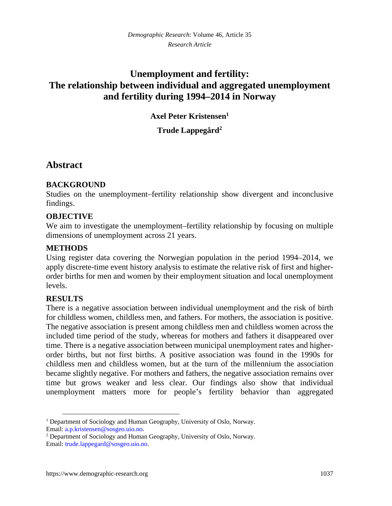# **Unemployment and fertility: The relationship between individual and aggregated unemployment and fertility during 1994–2014 in Norway**

**Axel Peter Kristensen[1](#page-2-0)**

**Trude Lappegård[2](#page-2-1)**

# **Abstract**

## **BACKGROUND**

Studies on the unemployment–fertility relationship show divergent and inconclusive findings.

## **OBJECTIVE**

We aim to investigate the unemployment–fertility relationship by focusing on multiple dimensions of unemployment across 21 years.

## **METHODS**

Using register data covering the Norwegian population in the period 1994–2014, we apply discrete-time event history analysis to estimate the relative risk of first and higherorder births for men and women by their employment situation and local unemployment levels.

## **RESULTS**

There is a negative association between individual unemployment and the risk of birth for childless women, childless men, and fathers. For mothers, the association is positive. The negative association is present among childless men and childless women across the included time period of the study, whereas for mothers and fathers it disappeared over time. There is a negative association between municipal unemployment rates and higherorder births, but not first births. A positive association was found in the 1990s for childless men and childless women, but at the turn of the millennium the association became slightly negative. For mothers and fathers, the negative association remains over time but grows weaker and less clear. Our findings also show that individual unemployment matters more for people's fertility behavior than aggregated

<span id="page-2-0"></span><sup>&</sup>lt;sup>1</sup> Department of Sociology and Human Geography, University of Oslo, Norway. Email: [a.p.kristensen@sosgeo.uio.no](mailto:a.p.kristensen@sosgeo.uio.no).

<span id="page-2-1"></span><sup>&</sup>lt;sup>2</sup> Department of Sociology and Human Geography, University of Oslo, Norway. Email: [trude.lappegard@sosgeo.uio.no](mailto:trude.lappegard@sosgeo.uio.no).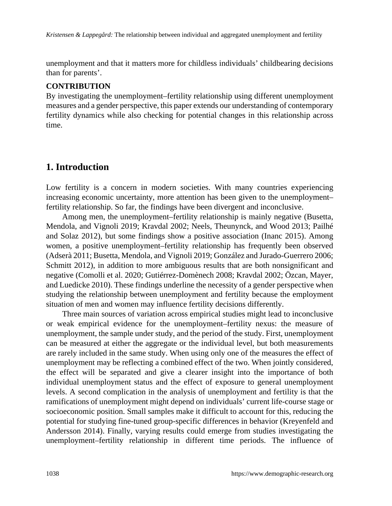unemployment and that it matters more for childless individuals' childbearing decisions than for parents'.

### **CONTRIBUTION**

By investigating the unemployment–fertility relationship using different unemployment measures and a gender perspective, this paper extends our understanding of contemporary fertility dynamics while also checking for potential changes in this relationship across time.

# **1. Introduction**

Low fertility is a concern in modern societies. With many countries experiencing increasing economic uncertainty, more attention has been given to the unemployment– fertility relationship. So far, the findings have been divergent and inconclusive.

Among men, the unemployment–fertility relationship is mainly negative (Busetta, Mendola, and Vignoli 2019; Kravdal 2002; Neels, Theunynck, and Wood 2013; Pailhé and Solaz 2012), but some findings show a positive association (Inanc 2015). Among women, a positive unemployment–fertility relationship has frequently been observed (Adserà 2011; Busetta, Mendola, and Vignoli 2019; González and Jurado-Guerrero 2006; Schmitt 2012), in addition to more ambiguous results that are both nonsignificant and negative (Comolli et al. 2020; Gutiérrez-Domènech 2008; Kravdal 2002; Özcan, Mayer, and Luedicke 2010). These findings underline the necessity of a gender perspective when studying the relationship between unemployment and fertility because the employment situation of men and women may influence fertility decisions differently.

Three main sources of variation across empirical studies might lead to inconclusive or weak empirical evidence for the unemployment–fertility nexus: the measure of unemployment, the sample under study, and the period of the study. First, unemployment can be measured at either the aggregate or the individual level, but both measurements are rarely included in the same study. When using only one of the measures the effect of unemployment may be reflecting a combined effect of the two. When jointly considered, the effect will be separated and give a clearer insight into the importance of both individual unemployment status and the effect of exposure to general unemployment levels. A second complication in the analysis of unemployment and fertility is that the ramifications of unemployment might depend on individuals' current life-course stage or socioeconomic position. Small samples make it difficult to account for this, reducing the potential for studying fine-tuned group-specific differences in behavior (Kreyenfeld and Andersson 2014). Finally, varying results could emerge from studies investigating the unemployment–fertility relationship in different time periods. The influence of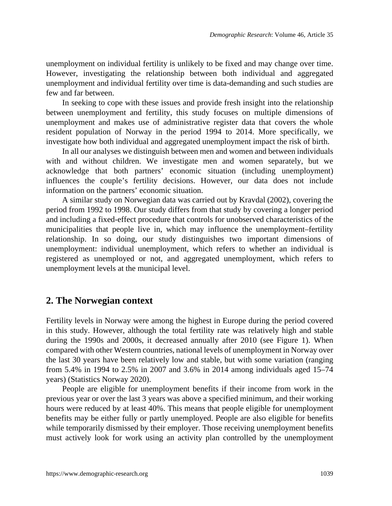unemployment on individual fertility is unlikely to be fixed and may change over time. However, investigating the relationship between both individual and aggregated unemployment and individual fertility over time is data-demanding and such studies are few and far between.

In seeking to cope with these issues and provide fresh insight into the relationship between unemployment and fertility, this study focuses on multiple dimensions of unemployment and makes use of administrative register data that covers the whole resident population of Norway in the period 1994 to 2014. More specifically, we investigate how both individual and aggregated unemployment impact the risk of birth.

In all our analyses we distinguish between men and women and between individuals with and without children. We investigate men and women separately, but we acknowledge that both partners' economic situation (including unemployment) influences the couple's fertility decisions. However, our data does not include information on the partners' economic situation.

A similar study on Norwegian data was carried out by Kravdal (2002), covering the period from 1992 to 1998. Our study differs from that study by covering a longer period and including a fixed-effect procedure that controls for unobserved characteristics of the municipalities that people live in, which may influence the unemployment–fertility relationship. In so doing, our study distinguishes two important dimensions of unemployment: individual unemployment, which refers to whether an individual is registered as unemployed or not, and aggregated unemployment, which refers to unemployment levels at the municipal level.

# **2. The Norwegian context**

Fertility levels in Norway were among the highest in Europe during the period covered in this study. However, although the total fertility rate was relatively high and stable during the 1990s and 2000s, it decreased annually after 2010 (see Figure 1). When compared with other Western countries, national levels of unemployment in Norway over the last 30 years have been relatively low and stable, but with some variation (ranging from 5.4% in 1994 to 2.5% in 2007 and 3.6% in 2014 among individuals aged 15–74 years) (Statistics Norway 2020).

People are eligible for unemployment benefits if their income from work in the previous year or over the last 3 years was above a specified minimum, and their working hours were reduced by at least 40%. This means that people eligible for unemployment benefits may be either fully or partly unemployed. People are also eligible for benefits while temporarily dismissed by their employer. Those receiving unemployment benefits must actively look for work using an activity plan controlled by the unemployment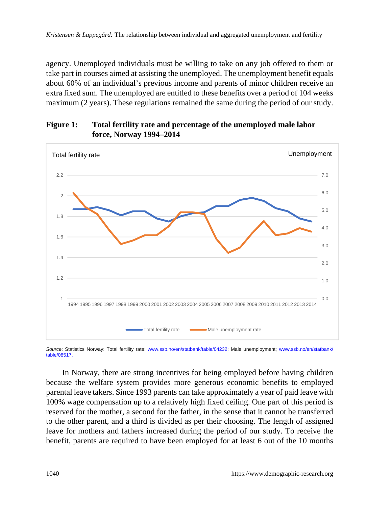agency. Unemployed individuals must be willing to take on any job offered to them or take part in courses aimed at assisting the unemployed. The unemployment benefit equals about 60% of an individual's previous income and parents of minor children receive an extra fixed sum. The unemployed are entitled to these benefits over a period of 104 weeks maximum (2 years). These regulations remained the same during the period of our study.

## **Figure 1: Total fertility rate and percentage of the unemployed male labor force, Norway 1994–2014**



*Source*: Statistics Norway: Total fertility rate: [www.ssb.no/en/statbank/table/04](http://www.ssb.no/en/statbank/table/08517)232; Male unemployment; [www.ssb.no/en/statbank/](http://www.ssb.no/en/statbank/table/08517) [table/08517](http://www.ssb.no/en/statbank/table/08517).

In Norway, there are strong incentives for being employed before having children because the welfare system provides more generous economic benefits to employed parental leave takers. Since 1993 parents can take approximately a year of paid leave with 100% wage compensation up to a relatively high fixed ceiling. One part of this period is reserved for the mother, a second for the father, in the sense that it cannot be transferred to the other parent, and a third is divided as per their choosing. The length of assigned leave for mothers and fathers increased during the period of our study. To receive the benefit, parents are required to have been employed for at least 6 out of the 10 months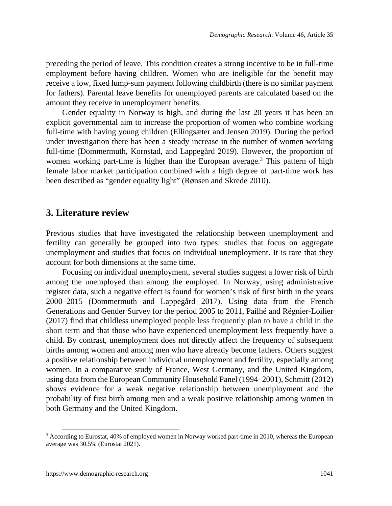preceding the period of leave. This condition creates a strong incentive to be in full-time employment before having children. Women who are ineligible for the benefit may receive a low, fixed lump-sum payment following childbirth (there is no similar payment for fathers). Parental leave benefits for unemployed parents are calculated based on the amount they receive in unemployment benefits.

Gender equality in Norway is high, and during the last 20 years it has been an explicit governmental aim to increase the proportion of women who combine working full-time with having young children (Ellingsæter and Jensen 2019). During the period under investigation there has been a steady increase in the number of women working full-time (Dommermuth, Kornstad, and Lappegård 2019). However, the proportion of women working part-time is higher than the European average.<sup>[3](#page-6-0)</sup> This pattern of high female labor market participation combined with a high degree of part-time work has been described as "gender equality light" (Rønsen and Skrede 2010).

## **3. Literature review**

Previous studies that have investigated the relationship between unemployment and fertility can generally be grouped into two types: studies that focus on aggregate unemployment and studies that focus on individual unemployment. It is rare that they account for both dimensions at the same time.

Focusing on individual unemployment, several studies suggest a lower risk of birth among the unemployed than among the employed. In Norway, using administrative register data, such a negative effect is found for women's risk of first birth in the years 2000–2015 (Dommermuth and Lappegård 2017). Using data from the French Generations and Gender Survey for the period 2005 to 2011, Pailhé and Régnier-Loilier (2017) find that childless unemployed people less frequently plan to have a child in the short term and that those who have experienced unemployment less frequently have a child. By contrast, unemployment does not directly affect the frequency of subsequent births among women and among men who have already become fathers. Others suggest a positive relationship between individual unemployment and fertility, especially among women. In a comparative study of France, West Germany, and the United Kingdom, using data from the European Community Household Panel (1994–2001), Schmitt (2012) shows evidence for a weak negative relationship between unemployment and the probability of first birth among men and a weak positive relationship among women in both Germany and the United Kingdom.

<span id="page-6-0"></span><sup>&</sup>lt;sup>3</sup> According to Eurostat, 40% of employed women in Norway worked part-time in 2010, whereas the European average was 30.5% (Eurostat 2021).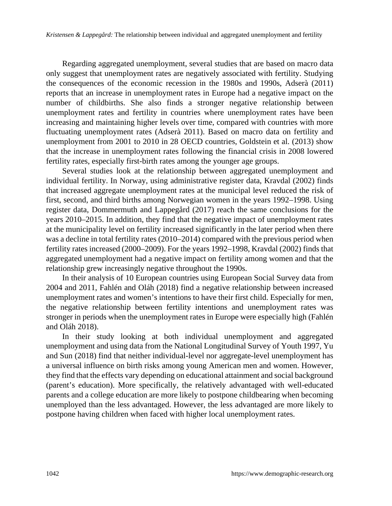Regarding aggregated unemployment, several studies that are based on macro data only suggest that unemployment rates are negatively associated with fertility. Studying the consequences of the economic recession in the 1980s and 1990s, Adserà (2011) reports that an increase in unemployment rates in Europe had a negative impact on the number of childbirths. She also finds a stronger negative relationship between unemployment rates and fertility in countries where unemployment rates have been increasing and maintaining higher levels over time, compared with countries with more fluctuating unemployment rates (Adserà 2011). Based on macro data on fertility and unemployment from 2001 to 2010 in 28 OECD countries, Goldstein et al. (2013) show that the increase in unemployment rates following the financial crisis in 2008 lowered fertility rates, especially first-birth rates among the younger age groups.

Several studies look at the relationship between aggregated unemployment and individual fertility. In Norway, using administrative register data, Kravdal (2002) finds that increased aggregate unemployment rates at the municipal level reduced the risk of first, second, and third births among Norwegian women in the years 1992–1998. Using register data, Dommermuth and Lappegård (2017) reach the same conclusions for the years 2010–2015. In addition, they find that the negative impact of unemployment rates at the municipality level on fertility increased significantly in the later period when there was a decline in total fertility rates (2010–2014) compared with the previous period when fertility rates increased (2000–2009). For the years 1992–1998, Kravdal (2002) finds that aggregated unemployment had a negative impact on fertility among women and that the relationship grew increasingly negative throughout the 1990s.

In their analysis of 10 European countries using European Social Survey data from 2004 and 2011, Fahlén and Oláh (2018) find a negative relationship between increased unemployment rates and women's intentions to have their first child. Especially for men, the negative relationship between fertility intentions and unemployment rates was stronger in periods when the unemployment rates in Europe were especially high (Fahlén and Oláh 2018).

In their study looking at both individual unemployment and aggregated unemployment and using data from the National Longitudinal Survey of Youth 1997, Yu and Sun (2018) find that neither individual-level nor aggregate-level unemployment has a universal influence on birth risks among young American men and women. However, they find that the effects vary depending on educational attainment and social background (parent's education). More specifically, the relatively advantaged with well-educated parents and a college education are more likely to postpone childbearing when becoming unemployed than the less advantaged. However, the less advantaged are more likely to postpone having children when faced with higher local unemployment rates.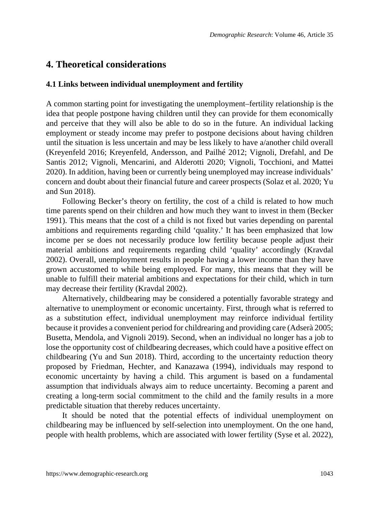## **4. Theoretical considerations**

#### **4.1 Links between individual unemployment and fertility**

A common starting point for investigating the unemployment–fertility relationship is the idea that people postpone having children until they can provide for them economically and perceive that they will also be able to do so in the future. An individual lacking employment or steady income may prefer to postpone decisions about having children until the situation is less uncertain and may be less likely to have a/another child overall (Kreyenfeld 2016; Kreyenfeld, Andersson, and Pailhé 2012; Vignoli, Drefahl, and De Santis 2012; Vignoli, Mencarini, and Alderotti 2020; Vignoli, Tocchioni, and Mattei 2020). In addition, having been or currently being unemployed may increase individuals' concern and doubt about their financial future and career prospects (Solaz et al. 2020; Yu and Sun 2018).

Following Becker's theory on fertility, the cost of a child is related to how much time parents spend on their children and how much they want to invest in them (Becker 1991). This means that the cost of a child is not fixed but varies depending on parental ambitions and requirements regarding child 'quality.' It has been emphasized that low income per se does not necessarily produce low fertility because people adjust their material ambitions and requirements regarding child 'quality' accordingly (Kravdal 2002). Overall, unemployment results in people having a lower income than they have grown accustomed to while being employed. For many, this means that they will be unable to fulfill their material ambitions and expectations for their child, which in turn may decrease their fertility (Kravdal 2002).

Alternatively, childbearing may be considered a potentially favorable strategy and alternative to unemployment or economic uncertainty. First, through what is referred to as a substitution effect, individual unemployment may reinforce individual fertility because it provides a convenient period for childrearing and providing care (Adserà 2005; Busetta, Mendola, and Vignoli 2019). Second, when an individual no longer has a job to lose the opportunity cost of childbearing decreases, which could have a positive effect on childbearing (Yu and Sun 2018). Third, according to the uncertainty reduction theory proposed by Friedman, Hechter, and Kanazawa (1994), individuals may respond to economic uncertainty by having a child. This argument is based on a fundamental assumption that individuals always aim to reduce uncertainty. Becoming a parent and creating a long-term social commitment to the child and the family results in a more predictable situation that thereby reduces uncertainty.

It should be noted that the potential effects of individual unemployment on childbearing may be influenced by self-selection into unemployment. On the one hand, people with health problems, which are associated with lower fertility (Syse et al. 2022),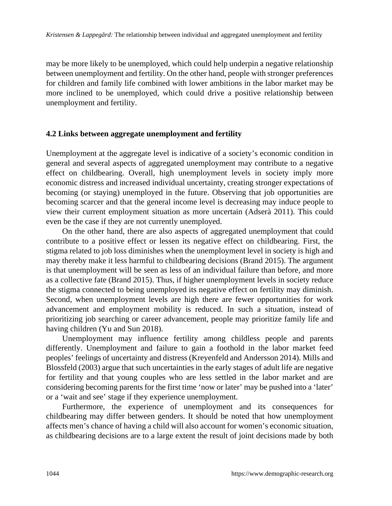may be more likely to be unemployed, which could help underpin a negative relationship between unemployment and fertility. On the other hand, people with stronger preferences for children and family life combined with lower ambitions in the labor market may be more inclined to be unemployed, which could drive a positive relationship between unemployment and fertility.

#### **4.2 Links between aggregate unemployment and fertility**

Unemployment at the aggregate level is indicative of a society's economic condition in general and several aspects of aggregated unemployment may contribute to a negative effect on childbearing. Overall, high unemployment levels in society imply more economic distress and increased individual uncertainty, creating stronger expectations of becoming (or staying) unemployed in the future. Observing that job opportunities are becoming scarcer and that the general income level is decreasing may induce people to view their current employment situation as more uncertain (Adserà 2011). This could even be the case if they are not currently unemployed.

On the other hand, there are also aspects of aggregated unemployment that could contribute to a positive effect or lessen its negative effect on childbearing. First, the stigma related to job loss diminishes when the unemployment level in society is high and may thereby make it less harmful to childbearing decisions (Brand 2015). The argument is that unemployment will be seen as less of an individual failure than before, and more as a collective fate (Brand 2015). Thus, if higher unemployment levels in society reduce the stigma connected to being unemployed its negative effect on fertility may diminish. Second, when unemployment levels are high there are fewer opportunities for work advancement and employment mobility is reduced. In such a situation, instead of prioritizing job searching or career advancement, people may prioritize family life and having children (Yu and Sun 2018).

Unemployment may influence fertility among childless people and parents differently. Unemployment and failure to gain a foothold in the labor market feed peoples' feelings of uncertainty and distress (Kreyenfeld and Andersson 2014). Mills and Blossfeld (2003) argue that such uncertainties in the early stages of adult life are negative for fertility and that young couples who are less settled in the labor market and are considering becoming parents for the first time 'now or later' may be pushed into a 'later' or a 'wait and see' stage if they experience unemployment.

Furthermore, the experience of unemployment and its consequences for childbearing may differ between genders. It should be noted that how unemployment affects men's chance of having a child will also account for women's economic situation, as childbearing decisions are to a large extent the result of joint decisions made by both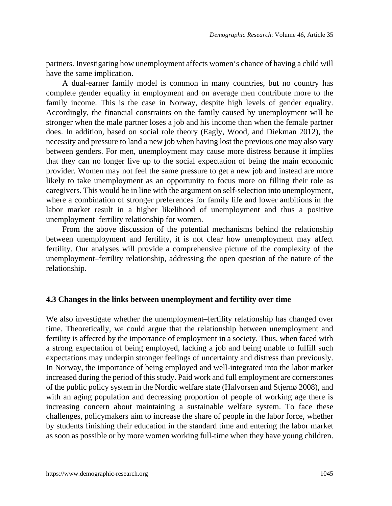partners. Investigating how unemployment affects women's chance of having a child will have the same implication.

A dual-earner family model is common in many countries, but no country has complete gender equality in employment and on average men contribute more to the family income. This is the case in Norway, despite high levels of gender equality. Accordingly, the financial constraints on the family caused by unemployment will be stronger when the male partner loses a job and his income than when the female partner does. In addition, based on social role theory (Eagly, Wood, and Diekman 2012), the necessity and pressure to land a new job when having lost the previous one may also vary between genders. For men, unemployment may cause more distress because it implies that they can no longer live up to the social expectation of being the main economic provider. Women may not feel the same pressure to get a new job and instead are more likely to take unemployment as an opportunity to focus more on filling their role as caregivers. This would be in line with the argument on self-selection into unemployment, where a combination of stronger preferences for family life and lower ambitions in the labor market result in a higher likelihood of unemployment and thus a positive unemployment–fertility relationship for women.

From the above discussion of the potential mechanisms behind the relationship between unemployment and fertility, it is not clear how unemployment may affect fertility. Our analyses will provide a comprehensive picture of the complexity of the unemployment–fertility relationship, addressing the open question of the nature of the relationship.

#### **4.3 Changes in the links between unemployment and fertility over time**

We also investigate whether the unemployment–fertility relationship has changed over time. Theoretically, we could argue that the relationship between unemployment and fertility is affected by the importance of employment in a society. Thus, when faced with a strong expectation of being employed, lacking a job and being unable to fulfill such expectations may underpin stronger feelings of uncertainty and distress than previously. In Norway, the importance of being employed and well-integrated into the labor market increased during the period of this study. Paid work and full employment are cornerstones of the public policy system in the Nordic welfare state (Halvorsen and Stjernø 2008), and with an aging population and decreasing proportion of people of working age there is increasing concern about maintaining a sustainable welfare system. To face these challenges, policymakers aim to increase the share of people in the labor force, whether by students finishing their education in the standard time and entering the labor market as soon as possible or by more women working full-time when they have young children.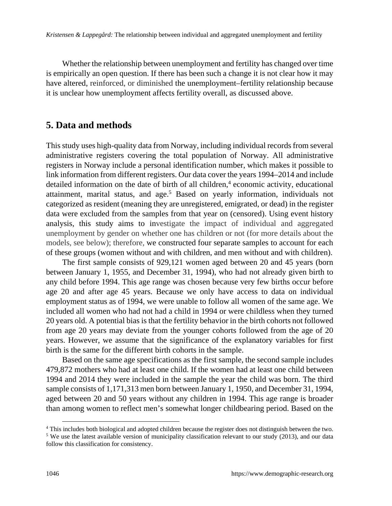Whether the relationship between unemployment and fertility has changed over time is empirically an open question. If there has been such a change it is not clear how it may have altered, reinforced, or diminished the unemployment–fertility relationship because it is unclear how unemployment affects fertility overall, as discussed above.

# **5. Data and methods**

This study uses high-quality data from Norway, including individual records from several administrative registers covering the total population of Norway. All administrative registers in Norway include a personal identification number, which makes it possible to link information from different registers. Our data cover the years 1994–2014 and include detailed information on the date of birth of all children,<sup>[4](#page-11-0)</sup> economic activity, educational attainment, marital status, and age.<sup>[5](#page-11-1)</sup> Based on yearly information, individuals not categorized as resident (meaning they are unregistered, emigrated, or dead) in the register data were excluded from the samples from that year on (censored). Using event history analysis, this study aims to investigate the impact of individual and aggregated unemployment by gender on whether one has children or not (for more details about the models, see below); therefore, we constructed four separate samples to account for each of these groups (women without and with children, and men without and with children).

The first sample consists of 929,121 women aged between 20 and 45 years (born between January 1, 1955, and December 31, 1994), who had not already given birth to any child before 1994. This age range was chosen because very few births occur before age 20 and after age 45 years. Because we only have access to data on individual employment status as of 1994, we were unable to follow all women of the same age. We included all women who had not had a child in 1994 or were childless when they turned 20 years old. A potential bias is that the fertility behavior in the birth cohorts not followed from age 20 years may deviate from the younger cohorts followed from the age of 20 years. However, we assume that the significance of the explanatory variables for first birth is the same for the different birth cohorts in the sample.

Based on the same age specifications as the first sample, the second sample includes 479,872 mothers who had at least one child. If the women had at least one child between 1994 and 2014 they were included in the sample the year the child was born. The third sample consists of 1,171,313 men born between January 1, 1950, and December 31, 1994, aged between 20 and 50 years without any children in 1994. This age range is broader than among women to reflect men's somewhat longer childbearing period. Based on the

<span id="page-11-0"></span><sup>&</sup>lt;sup>4</sup> This includes both biological and adopted children because the register does not distinguish between the two.

<span id="page-11-1"></span><sup>&</sup>lt;sup>5</sup> We use the latest available version of municipality classification relevant to our study (2013), and our data follow this classification for consistency.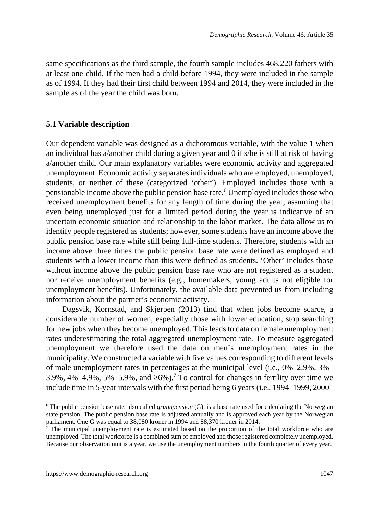same specifications as the third sample, the fourth sample includes 468,220 fathers with at least one child. If the men had a child before 1994, they were included in the sample as of 1994. If they had their first child between 1994 and 2014, they were included in the sample as of the year the child was born.

#### **5.1 Variable description**

Our dependent variable was designed as a dichotomous variable, with the value 1 when an individual has a/another child during a given year and 0 if s/he is still at risk of having a/another child. Our main explanatory variables were economic activity and aggregated unemployment. Economic activity separates individuals who are employed, unemployed, students, or neither of these (categorized 'other'). Employed includes those with a pensionable income above the public pension base rate.<sup>[6](#page-12-0)</sup> Unemployed includes those who received unemployment benefits for any length of time during the year, assuming that even being unemployed just for a limited period during the year is indicative of an uncertain economic situation and relationship to the labor market. The data allow us to identify people registered as students; however, some students have an income above the public pension base rate while still being full-time students. Therefore, students with an income above three times the public pension base rate were defined as employed and students with a lower income than this were defined as students. 'Other' includes those without income above the public pension base rate who are not registered as a student nor receive unemployment benefits (e.g., homemakers, young adults not eligible for unemployment benefits). Unfortunately, the available data prevented us from including information about the partner's economic activity.

Dagsvik, Kornstad, and Skjerpen (2013) find that when jobs become scarce, a considerable number of women, especially those with lower education, stop searching for new jobs when they become unemployed. This leads to data on female unemployment rates underestimating the total aggregated unemployment rate. To measure aggregated unemployment we therefore used the data on men's unemployment rates in the municipality. We constructed a variable with five values corresponding to different levels of male unemployment rates in percentages at the municipal level (i.e., 0%–2.9%, 3%– 3.9%, 4%–4.9%, 5%–5.9%, and  $\geq 6\%$ ).<sup>[7](#page-12-1)</sup> To control for changes in fertility over time we include time in 5-year intervals with the first period being 6 years (i.e., 1994–1999, 2000–

<span id="page-12-0"></span><sup>6</sup> The public pension base rate, also called *grunnpensjon* (G), is a base rate used for calculating the Norwegian state pension. The public pension base rate is adjusted annually and is approved each year by the Norwegian parliament. One G was equal to 38,080 kroner in 1994 and 88,370 kroner in 2014.<br><sup>7</sup> The municipal unemployment rate is estimated based on the proportion of the

<span id="page-12-1"></span>The municipal unemployment rate is estimated based on the proportion of the total workforce who are unemployed. The total workforce is a combined sum of employed and those registered completely unemployed. Because our observation unit is a year, we use the unemployment numbers in the fourth quarter of every year.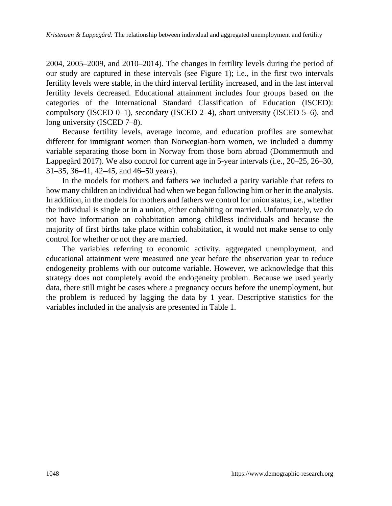2004, 2005–2009, and 2010–2014). The changes in fertility levels during the period of our study are captured in these intervals (see Figure 1); i.e., in the first two intervals fertility levels were stable, in the third interval fertility increased, and in the last interval fertility levels decreased. Educational attainment includes four groups based on the categories of the International Standard Classification of Education (ISCED): compulsory (ISCED 0–1), secondary (ISCED 2–4), short university (ISCED 5–6), and long university (ISCED 7–8).

Because fertility levels, average income, and education profiles are somewhat different for immigrant women than Norwegian-born women, we included a dummy variable separating those born in Norway from those born abroad (Dommermuth and Lappegård 2017). We also control for current age in 5-year intervals (i.e., 20–25, 26–30, 31–35, 36–41, 42–45, and 46–50 years).

In the models for mothers and fathers we included a parity variable that refers to how many children an individual had when we began following him or her in the analysis. In addition, in the models for mothers and fathers we control for union status; i.e., whether the individual is single or in a union, either cohabiting or married. Unfortunately, we do not have information on cohabitation among childless individuals and because the majority of first births take place within cohabitation, it would not make sense to only control for whether or not they are married.

The variables referring to economic activity, aggregated unemployment, and educational attainment were measured one year before the observation year to reduce endogeneity problems with our outcome variable. However, we acknowledge that this strategy does not completely avoid the endogeneity problem. Because we used yearly data, there still might be cases where a pregnancy occurs before the unemployment, but the problem is reduced by lagging the data by 1 year. Descriptive statistics for the variables included in the analysis are presented in Table 1.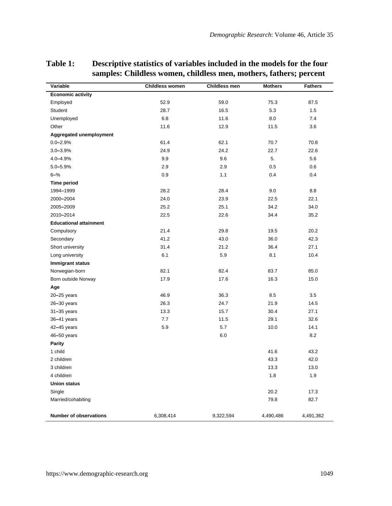| Variable                      | <b>Childless women</b> | <b>Childless men</b> | <b>Mothers</b> | <b>Fathers</b> |
|-------------------------------|------------------------|----------------------|----------------|----------------|
| <b>Economic activity</b>      |                        |                      |                |                |
| Employed                      | 52.9                   | 59.0                 | 75.3           | 87.5           |
| Student                       | 28.7                   | 16.5                 | 5.3            | 1.5            |
| Unemployed                    | 6.8                    | 11.6                 | 8.0            | 7.4            |
| Other                         | 11.6                   | 12.9                 | 11.5           | 3.6            |
| Aggregated unemployment       |                        |                      |                |                |
| $0.0 - 2.9%$                  | 61.4                   | 62.1                 | 70.7           | 70.8           |
| 3.0-3.9%                      | 24.9                   | 24.2                 | 22.7           | 22.6           |
| 4.0-4.9%                      | 9.9                    | 9.6                  | 5.             | 5.6            |
| 5.0-5.9%                      | 2.9                    | 2.9                  | 0.5            | 0.6            |
| $6 - %$                       | 0.9                    | 1.1                  | 0.4            | 0.4            |
| <b>Time period</b>            |                        |                      |                |                |
| 1994-1999                     | 28.2                   | 28.4                 | 9.0            | 8.8            |
| 2000-2004                     | 24.0                   | 23.9                 | 22.5           | 22.1           |
| 2005-2009                     | 25.2                   | 25.1                 | 34.2           | 34.0           |
| 2010-2014                     | 22.5                   | 22.6                 | 34.4           | 35.2           |
| <b>Educational attainment</b> |                        |                      |                |                |
| Compulsory                    | 21.4                   | 29.8                 | 19.5           | 20.2           |
| Secondary                     | 41.2                   | 43.0                 | 36.0           | 42.3           |
| Short university              | 31.4                   | 21.2                 | 36.4           | 27.1           |
| Long university               | 6.1                    | 5.9                  | 8.1            | 10.4           |
| Immigrant status              |                        |                      |                |                |
| Norwegian-born                | 82.1                   | 82.4                 | 83.7           | 85.0           |
| Born outside Norway           | 17.9                   | 17.6                 | 16.3           | 15.0           |
| Age                           |                        |                      |                |                |
| $20 - 25$ years               | 46.9                   | 36.3                 | 8.5            | 3.5            |
| $26 - 30$ years               | 26.3                   | 24.7                 | 21.9           | 14.5           |
| 31-35 years                   | 13.3                   | 15.7                 | 30.4           | 27.1           |
| 36-41 years                   | 7.7                    | 11.5                 | 29.1           | 32.6           |
| 42-45 years                   | 5.9                    | 5.7                  | 10.0           | 14.1           |
| 46-50 years                   |                        | 6.0                  |                | 8.2            |
| <b>Parity</b>                 |                        |                      |                |                |
| 1 child                       |                        |                      | 41.6           | 43.2           |
| 2 children                    |                        |                      | 43.3           | 42.0           |
| 3 children                    |                        |                      | 13.3           | 13.0           |
| 4 children                    |                        |                      | 1.8            | 1.9            |
| <b>Union status</b>           |                        |                      |                |                |
| Single                        |                        |                      | 20.2           | 17.3           |
| Married/cohabiting            |                        |                      | 79.8           | 82.7           |
| Number of observations        | 6,308,414              | 9,322,594            | 4,490,486      | 4,491,362      |

## **Table 1: Descriptive statistics of variables included in the models for the four samples: Childless women, childless men, mothers, fathers; percent**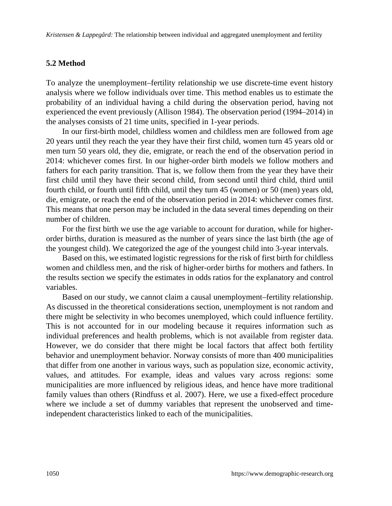*Kristensen & Lappegård:* The relationship between individual and aggregated unemployment and fertility

#### **5.2 Method**

To analyze the unemployment–fertility relationship we use discrete-time event history analysis where we follow individuals over time. This method enables us to estimate the probability of an individual having a child during the observation period, having not experienced the event previously (Allison 1984). The observation period (1994–2014) in the analyses consists of 21 time units, specified in 1-year periods.

In our first-birth model, childless women and childless men are followed from age 20 years until they reach the year they have their first child, women turn 45 years old or men turn 50 years old, they die, emigrate, or reach the end of the observation period in 2014: whichever comes first. In our higher-order birth models we follow mothers and fathers for each parity transition. That is, we follow them from the year they have their first child until they have their second child, from second until third child, third until fourth child, or fourth until fifth child, until they turn 45 (women) or 50 (men) years old, die, emigrate, or reach the end of the observation period in 2014: whichever comes first. This means that one person may be included in the data several times depending on their number of children.

For the first birth we use the age variable to account for duration, while for higherorder births, duration is measured as the number of years since the last birth (the age of the youngest child). We categorized the age of the youngest child into 3-year intervals.

Based on this, we estimated logistic regressions for the risk of first birth for childless women and childless men, and the risk of higher-order births for mothers and fathers. In the results section we specify the estimates in odds ratios for the explanatory and control variables.

Based on our study, we cannot claim a causal unemployment–fertility relationship. As discussed in the theoretical considerations section, unemployment is not random and there might be selectivity in who becomes unemployed, which could influence fertility. This is not accounted for in our modeling because it requires information such as individual preferences and health problems, which is not available from register data. However, we do consider that there might be local factors that affect both fertility behavior and unemployment behavior. Norway consists of more than 400 municipalities that differ from one another in various ways, such as population size, economic activity, values, and attitudes. For example, ideas and values vary across regions: some municipalities are more influenced by religious ideas, and hence have more traditional family values than others (Rindfuss et al. 2007). Here, we use a fixed-effect procedure where we include a set of dummy variables that represent the unobserved and timeindependent characteristics linked to each of the municipalities.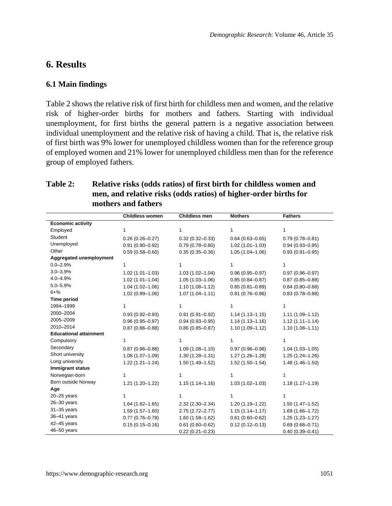# **6. Results**

### **6.1 Main findings**

Table 2 shows the relative risk of first birth for childless men and women, and the relative risk of higher-order births for mothers and fathers. Starting with individual unemployment, for first births the general pattern is a negative association between individual unemployment and the relative risk of having a child. That is, the relative risk of first birth was 9% lower for unemployed childless women than for the reference group of employed women and 21% lower for unemployed childless men than for the reference group of employed fathers.

## **Table 2: Relative risks (odds ratios) of first birth for childless women and men, and relative risks (odds ratios) of higher-order births for mothers and fathers**

|                               | <b>Childless women</b> | Childless men       | <b>Mothers</b>      | <b>Fathers</b>      |
|-------------------------------|------------------------|---------------------|---------------------|---------------------|
| <b>Economic activity</b>      |                        |                     |                     |                     |
| Employed                      | 1                      | 1                   | 1                   | 1                   |
| Student                       | $0.26(0.26 - 0.27)$    | $0.32(0.32 - 0.33)$ | $0.64(0.63 - 0.65)$ | $0.79(0.78 - 0.81)$ |
| Unemployed                    | $0.91(0.90 - 0.92)$    | $0.79(0.78 - 0.80)$ | $1.02(1.01 - 1.03)$ | $0.94(0.93 - 0.95)$ |
| Other                         | $0.59(0.58 - 0.60)$    | $0.35(0.35 - 0.36)$ | $1.05(1.04 - 1.06)$ | $0.93(0.91 - 0.95)$ |
| Aggregated unemployment       |                        |                     |                     |                     |
| $0.0 - 2.9%$                  | 1                      |                     | 1                   | 1                   |
| $3.0 - 3.9%$                  | $1.02(1.01 - 1.03)$    | $1.03(1.02 - 1.04)$ | $0.96(0.95 - 0.97)$ | $0.97(0.96 - 0.97)$ |
| $4.0 - 4.9%$                  | $1.02(1.01 - 1.04)$    | $1.05(1.03 - 1.06)$ | $0.85(0.84 - 0.87)$ | $0.87(0.85 - 0.88)$ |
| $5.0 - 5.9%$                  | $1.04(1.02 - 1.06)$    | $1.10(1.08 - 1.12)$ | $0.85(0.81 - 0.89)$ | $0.84(0.80 - 0.88)$ |
| $6 + \%$                      | 1.02 (0.99-1.06)       | $1.07(1.04 - 1.11)$ | $0.81(0.76 - 0.86)$ | $0.83(0.78 - 0.88)$ |
| <b>Time period</b>            |                        |                     |                     |                     |
| 1994-1999                     | 1                      |                     | 1                   | 1                   |
| 2000-2004                     | $0.93(0.92 - 0.93)$    | $0.91(0.91 - 0.92)$ | $1.14(1.13 - 1.15)$ | $1.11(1.09 - 1.12)$ |
| 2005-2009                     | $0.96(0.95 - 0.97)$    | $0.94(0.93 - 0.95)$ | $1.14(1.13 - 1.16)$ | $1.12(1.11 - 1.14)$ |
| 2010-2014                     | $0.87(0.86 - 0.88)$    | $0.86(0.85 - 0.87)$ | $1.10(1.09 - 1.12)$ | $1.10(1.08 - 1.11)$ |
| <b>Educational attainment</b> |                        |                     |                     |                     |
| Compulsory                    | 1                      |                     | 1                   | 1                   |
| Secondary                     | $0.87(0.86 - 0.88)$    | $1.09(1.08 - 1.10)$ | $0.97(0.96 - 0.98)$ | $1.04(1.03 - 1.05)$ |
| Short university              | $1.08(1.07 - 1.09)$    | $1.30(1.28 - 1.31)$ | $1.27(1.26 - 1.28)$ | $1.25(1.24 - 1.26)$ |
| Long university               | $1.22(1.21 - 1.24)$    | $1.50(1.49 - 1.52)$ | $1.52(1.50 - 1.54)$ | $1.48(1.46 - 1.50)$ |
| <b>Immigrant status</b>       |                        |                     |                     |                     |
| Norwegian-born                | 1                      | 1                   | 1                   | 1                   |
| Born outside Norway           | 1.21 (1.20-1.22)       | $1.15(1.14 - 1.16)$ | $1.03(1.02 - 1.03)$ | $1.18(1.17 - 1.19)$ |
| Age                           |                        |                     |                     |                     |
| $20 - 25$ years               | 1                      |                     | 1                   | 1                   |
| $26 - 30$ years               | $1.64(1.62 - 1.65)$    | $2.32(2.30 - 2.34)$ | 1.20 (1.19-1.22)    | $1.50(1.47 - 1.52)$ |
| $31 - 35$ years               | $1.59(1.57 - 1.60)$    | $2.75(2.72 - 2.77)$ | $1.15(1.14 - 1.17)$ | $1.69(1.66 - 1.72)$ |
| 36-41 years                   | $0.77(0.76 - 0.78)$    | $1.60(1.58 - 1.62)$ | $0.61(0.60 - 0.62)$ | $1.25(1.23 - 1.27)$ |
| 42-45 years                   | $0.15(0.15 - 0.16)$    | $0.61(0.60 - 0.62)$ | $0.12(0.12 - 0.13)$ | $0.69(0.68 - 0.71)$ |
| 46-50 years                   |                        | $0.22(0.21 - 0.23)$ |                     | $0.40(0.39 - 0.41)$ |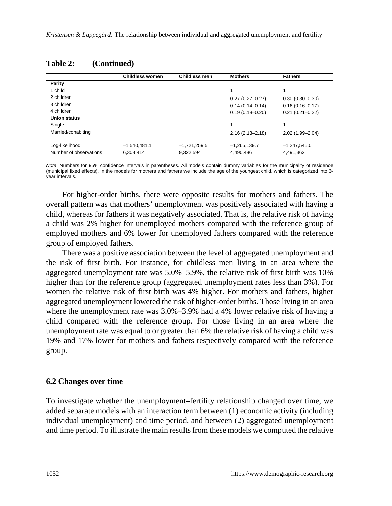|                        | Childless women | <b>Childless men</b> | <b>Mothers</b>      | <b>Fathers</b>      |
|------------------------|-----------------|----------------------|---------------------|---------------------|
| Parity                 |                 |                      |                     |                     |
| 1 child                |                 |                      | 1                   | 1                   |
| 2 children             |                 |                      | $0.27(0.27 - 0.27)$ | $0.30(0.30 - 0.30)$ |
| 3 children             |                 |                      | $0.14(0.14 - 0.14)$ | $0.16(0.16 - 0.17)$ |
| 4 children             |                 |                      | $0.19(0.18 - 0.20)$ | $0.21(0.21 - 0.22)$ |
| Union status           |                 |                      |                     |                     |
| Single                 |                 |                      | 1                   | 1                   |
| Married/cohabiting     |                 |                      | $2.16(2.13 - 2.18)$ | 2.02 (1.99-2.04)    |
| Log-likelihood         | $-1.540.481.1$  | $-1,721,259.5$       | $-1,265,139.7$      | $-1,247,545.0$      |
| Number of observations | 6.308.414       | 9.322.594            | 4.490.486           | 4.491.362           |

#### **Table 2: (Continued)**

*Note*: Numbers for 95% confidence intervals in parentheses. All models contain dummy variables for the municipality of residence (municipal fixed effects). In the models for mothers and fathers we include the age of the youngest child, which is categorized into 3 year intervals.

For higher-order births, there were opposite results for mothers and fathers. The overall pattern was that mothers' unemployment was positively associated with having a child, whereas for fathers it was negatively associated. That is, the relative risk of having a child was 2% higher for unemployed mothers compared with the reference group of employed mothers and 6% lower for unemployed fathers compared with the reference group of employed fathers.

There was a positive association between the level of aggregated unemployment and the risk of first birth. For instance, for childless men living in an area where the aggregated unemployment rate was 5.0%–5.9%, the relative risk of first birth was 10% higher than for the reference group (aggregated unemployment rates less than 3%). For women the relative risk of first birth was 4% higher. For mothers and fathers, higher aggregated unemployment lowered the risk of higher-order births. Those living in an area where the unemployment rate was  $3.0\% - 3.9\%$  had a 4% lower relative risk of having a child compared with the reference group. For those living in an area where the unemployment rate was equal to or greater than 6% the relative risk of having a child was 19% and 17% lower for mothers and fathers respectively compared with the reference group.

#### **6.2 Changes over time**

To investigate whether the unemployment–fertility relationship changed over time, we added separate models with an interaction term between (1) economic activity (including individual unemployment) and time period, and between (2) aggregated unemployment and time period. To illustrate the main results from these models we computed the relative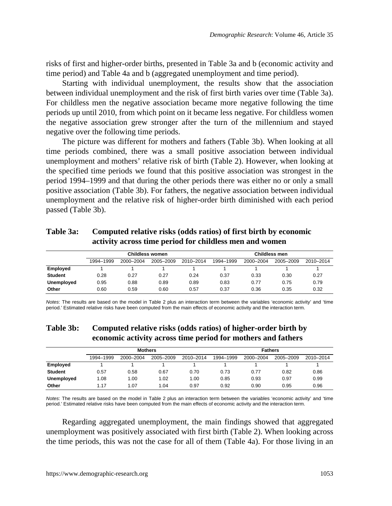risks of first and higher-order births, presented in Table 3a and b (economic activity and time period) and Table 4a and b (aggregated unemployment and time period).

Starting with individual unemployment, the results show that the association between individual unemployment and the risk of first birth varies over time (Table 3a). For childless men the negative association became more negative following the time periods up until 2010, from which point on it became less negative. For childless women the negative association grew stronger after the turn of the millennium and stayed negative over the following time periods.

The picture was different for mothers and fathers (Table 3b). When looking at all time periods combined, there was a small positive association between individual unemployment and mothers' relative risk of birth (Table 2). However, when looking at the specified time periods we found that this positive association was strongest in the period 1994–1999 and that during the other periods there was either no or only a small positive association (Table 3b). For fathers, the negative association between individual unemployment and the relative risk of higher-order birth diminished with each period passed (Table 3b).

|          | activity across time period for childless men and women |  |  |                                         |                      |                               |  |  |  |  |  |
|----------|---------------------------------------------------------|--|--|-----------------------------------------|----------------------|-------------------------------|--|--|--|--|--|
|          | <b>Childless women</b>                                  |  |  |                                         | <b>Childless men</b> |                               |  |  |  |  |  |
|          | 1994-1999                                               |  |  | 2000-2004 2005-2009 2010-2014 1994-1999 |                      | 2000-2004 2005-2009 2010-2014 |  |  |  |  |  |
| Employed |                                                         |  |  |                                         |                      |                               |  |  |  |  |  |

**Student** 0.28 0.27 0.27 0.24 0.37 0.33 0.30 0.27 **Unemployed** 0.95 0.88 0.89 0.89 0.83 0.77 0.75 0.79 **Other** 0.60 0.59 0.60 0.57 0.37 0.36 0.35 0.32

**Table 3a: Computed relative risks (odds ratios) of first birth by economic activity across time period for childless men and women**

*Notes*: The results are based on the model in Table 2 plus an interaction term between the variables 'economic activity' and 'time period.' Estimated relative risks have been computed from the main effects of economic activity and the interaction term.

| <b>Table 3b:</b> | Computed relative risks (odds ratios) of higher-order birth by |
|------------------|----------------------------------------------------------------|
|                  | economic activity across time period for mothers and fathers   |

|                | <b>Mothers</b> |           |           |           | <b>Fathers</b> |           |           |           |
|----------------|----------------|-----------|-----------|-----------|----------------|-----------|-----------|-----------|
|                | 1994-1999      | 2000-2004 | 2005-2009 | 2010-2014 | 1994-1999      | 2000-2004 | 2005-2009 | 2010-2014 |
| Employed       |                |           |           |           |                |           |           |           |
| <b>Student</b> | 0.57           | 0.58      | 0.67      | 0.70      | 0.73           | 0.77      | 0.82      | 0.86      |
| Unemployed     | 1.08           | 1.00      | 1.02      | 1.00      | 0.85           | 0.93      | 0.97      | 0.99      |
| Other          | 1.17           | 1.07      | 1.04      | 0.97      | 0.92           | 0.90      | 0.95      | 0.96      |

*Notes*: The results are based on the model in Table 2 plus an interaction term between the variables 'economic activity' and 'time period.' Estimated relative risks have been computed from the main effects of economic activity and the interaction term.

Regarding aggregated unemployment, the main findings showed that aggregated unemployment was positively associated with first birth (Table 2). When looking across the time periods, this was not the case for all of them (Table 4a). For those living in an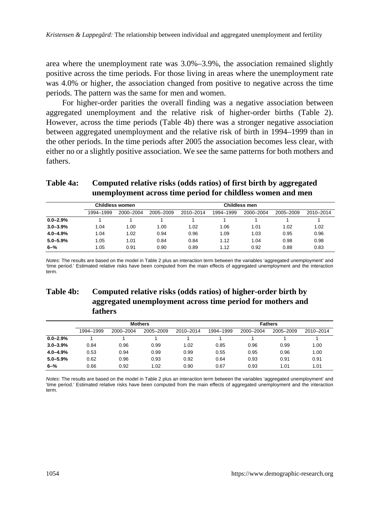area where the unemployment rate was 3.0%–3.9%, the association remained slightly positive across the time periods. For those living in areas where the unemployment rate was 4.0% or higher, the association changed from positive to negative across the time periods. The pattern was the same for men and women.

For higher-order parities the overall finding was a negative association between aggregated unemployment and the relative risk of higher-order births (Table 2). However, across the time periods (Table 4b) there was a stronger negative association between aggregated unemployment and the relative risk of birth in 1994–1999 than in the other periods. In the time periods after 2005 the association becomes less clear, with either no or a slightly positive association. We see the same patterns for both mothers and fathers.

### **Table 4a: Computed relative risks (odds ratios) of first birth by aggregated unemployment across time period for childless women and men**

|               | Childless women |           |           | <b>Childless men</b> |           |           |           |           |
|---------------|-----------------|-----------|-----------|----------------------|-----------|-----------|-----------|-----------|
|               | 1994-1999       | 2000-2004 | 2005-2009 | 2010-2014            | 1994-1999 | 2000-2004 | 2005-2009 | 2010-2014 |
| $0.0 - 2.9\%$ |                 |           |           |                      |           |           |           |           |
| $3.0 - 3.9%$  | 1.04            | 1.00      | 1.00      | 1.02                 | 1.06      | 1.01      | 1.02      | 1.02      |
| $4.0 - 4.9%$  | 1.04            | 1.02      | 0.94      | 0.96                 | 1.09      | 1.03      | 0.95      | 0.96      |
| $5.0 - 5.9%$  | 1.05            | 1.01      | 0.84      | 0.84                 | 1.12      | 1.04      | 0.98      | 0.98      |
| $6 - \%$      | 1.05            | 0.91      | 0.90      | 0.89                 | 1.12      | 0.92      | 0.88      | 0.83      |

*Notes*: The results are based on the model in Table 2 plus an interaction term between the variables 'aggregated unemployment' and 'time period.' Estimated relative risks have been computed from the main effects of aggregated unemployment and the interaction term.

## **Table 4b: Computed relative risks (odds ratios) of higher-order birth by aggregated unemployment across time period for mothers and fathers**

|              | <b>Mothers</b> |           |           |           | <b>Fathers</b> |           |           |           |
|--------------|----------------|-----------|-----------|-----------|----------------|-----------|-----------|-----------|
|              | 1994-1999      | 2000-2004 | 2005-2009 | 2010-2014 | 1994-1999      | 2000-2004 | 2005-2009 | 2010-2014 |
| $0.0 - 2.9%$ |                |           |           |           |                |           |           |           |
| $3.0 - 3.9%$ | 0.84           | 0.96      | 0.99      | 1.02      | 0.85           | 0.96      | 0.99      | 1.00      |
| $4.0 - 4.9%$ | 0.53           | 0.94      | 0.99      | 0.99      | 0.55           | 0.95      | 0.96      | 1.00      |
| $5.0 - 5.9%$ | 0.62           | 0.96      | 0.93      | 0.92      | 0.64           | 0.93      | 0.91      | 0.91      |
| $6 - \%$     | 0.66           | 0.92      | 1.02      | 0.90      | 0.67           | 0.93      | 1.01      | 1.01      |

*Notes*: The results are based on the model in Table 2 plus an interaction term between the variables 'aggregated unemployment' and 'time period.' Estimated relative risks have been computed from the main effects of aggregated unemployment and the interaction term.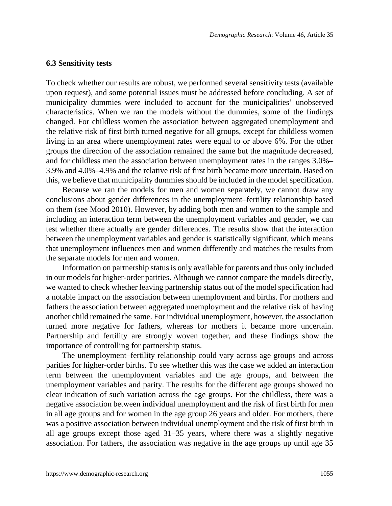#### **6.3 Sensitivity tests**

To check whether our results are robust, we performed several sensitivity tests (available upon request), and some potential issues must be addressed before concluding. A set of municipality dummies were included to account for the municipalities' unobserved characteristics. When we ran the models without the dummies, some of the findings changed. For childless women the association between aggregated unemployment and the relative risk of first birth turned negative for all groups, except for childless women living in an area where unemployment rates were equal to or above 6%. For the other groups the direction of the association remained the same but the magnitude decreased, and for childless men the association between unemployment rates in the ranges 3.0%– 3.9% and 4.0%–4.9% and the relative risk of first birth became more uncertain. Based on this, we believe that municipality dummies should be included in the model specification.

Because we ran the models for men and women separately, we cannot draw any conclusions about gender differences in the unemployment–fertility relationship based on them (see Mood 2010). However, by adding both men and women to the sample and including an interaction term between the unemployment variables and gender, we can test whether there actually are gender differences. The results show that the interaction between the unemployment variables and gender is statistically significant, which means that unemployment influences men and women differently and matches the results from the separate models for men and women.

Information on partnership status is only available for parents and thus only included in our models for higher-order parities. Although we cannot compare the models directly, we wanted to check whether leaving partnership status out of the model specification had a notable impact on the association between unemployment and births. For mothers and fathers the association between aggregated unemployment and the relative risk of having another child remained the same. For individual unemployment, however, the association turned more negative for fathers, whereas for mothers it became more uncertain. Partnership and fertility are strongly woven together, and these findings show the importance of controlling for partnership status.

The unemployment–fertility relationship could vary across age groups and across parities for higher-order births. To see whether this was the case we added an interaction term between the unemployment variables and the age groups, and between the unemployment variables and parity. The results for the different age groups showed no clear indication of such variation across the age groups. For the childless, there was a negative association between individual unemployment and the risk of first birth for men in all age groups and for women in the age group 26 years and older. For mothers, there was a positive association between individual unemployment and the risk of first birth in all age groups except those aged 31–35 years, where there was a slightly negative association. For fathers, the association was negative in the age groups up until age 35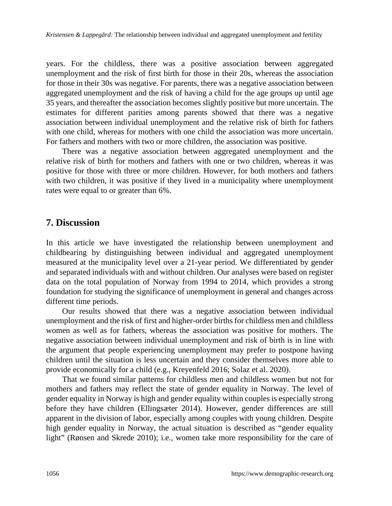years. For the childless, there was a positive association between aggregated unemployment and the risk of first birth for those in their 20s, whereas the association for those in their 30s was negative. For parents, there was a negative association between aggregated unemployment and the risk of having a child for the age groups up until age 35 years, and thereafter the association becomes slightly positive but more uncertain. The estimates for different parities among parents showed that there was a negative association between individual unemployment and the relative risk of birth for fathers with one child, whereas for mothers with one child the association was more uncertain. For fathers and mothers with two or more children, the association was positive.

There was a negative association between aggregated unemployment and the relative risk of birth for mothers and fathers with one or two children, whereas it was positive for those with three or more children. However, for both mothers and fathers with two children, it was positive if they lived in a municipality where unemployment rates were equal to or greater than 6%.

## **7. Discussion**

In this article we have investigated the relationship between unemployment and childbearing by distinguishing between individual and aggregated unemployment measured at the municipality level over a 21-year period. We differentiated by gender and separated individuals with and without children. Our analyses were based on register data on the total population of Norway from 1994 to 2014, which provides a strong foundation for studying the significance of unemployment in general and changes across different time periods.

Our results showed that there was a negative association between individual unemployment and the risk of first and higher-order births for childless men and childless women as well as for fathers, whereas the association was positive for mothers. The negative association between individual unemployment and risk of birth is in line with the argument that people experiencing unemployment may prefer to postpone having children until the situation is less uncertain and they consider themselves more able to provide economically for a child (e.g., Kreyenfeld 2016; Solaz et al. 2020).

That we found similar patterns for childless men and childless women but not for mothers and fathers may reflect the state of gender equality in Norway. The level of gender equality in Norway is high and gender equality within couples is especially strong before they have children (Ellingsæter 2014). However, gender differences are still apparent in the division of labor, especially among couples with young children. Despite high gender equality in Norway, the actual situation is described as "gender equality light" (Rønsen and Skrede 2010); i.e., women take more responsibility for the care of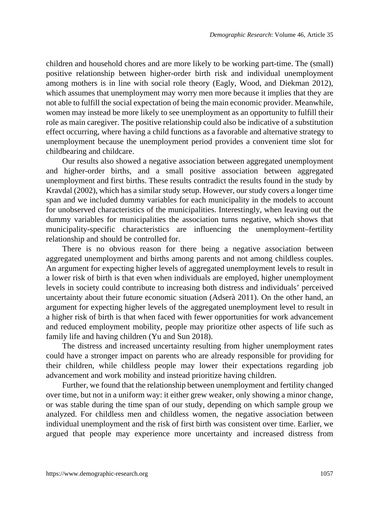children and household chores and are more likely to be working part-time. The (small) positive relationship between higher-order birth risk and individual unemployment among mothers is in line with social role theory (Eagly, Wood, and Diekman 2012), which assumes that unemployment may worry men more because it implies that they are not able to fulfill the social expectation of being the main economic provider. Meanwhile, women may instead be more likely to see unemployment as an opportunity to fulfill their role as main caregiver. The positive relationship could also be indicative of a substitution effect occurring, where having a child functions as a favorable and alternative strategy to unemployment because the unemployment period provides a convenient time slot for childbearing and childcare.

Our results also showed a negative association between aggregated unemployment and higher-order births, and a small positive association between aggregated unemployment and first births. These results contradict the results found in the study by Kravdal (2002), which has a similar study setup. However, our study covers a longer time span and we included dummy variables for each municipality in the models to account for unobserved characteristics of the municipalities. Interestingly, when leaving out the dummy variables for municipalities the association turns negative, which shows that municipality-specific characteristics are influencing the unemployment–fertility relationship and should be controlled for.

There is no obvious reason for there being a negative association between aggregated unemployment and births among parents and not among childless couples. An argument for expecting higher levels of aggregated unemployment levels to result in a lower risk of birth is that even when individuals are employed, higher unemployment levels in society could contribute to increasing both distress and individuals' perceived uncertainty about their future economic situation (Adserà 2011). On the other hand, an argument for expecting higher levels of the aggregated unemployment level to result in a higher risk of birth is that when faced with fewer opportunities for work advancement and reduced employment mobility, people may prioritize other aspects of life such as family life and having children (Yu and Sun 2018).

The distress and increased uncertainty resulting from higher unemployment rates could have a stronger impact on parents who are already responsible for providing for their children, while childless people may lower their expectations regarding job advancement and work mobility and instead prioritize having children.

Further, we found that the relationship between unemployment and fertility changed over time, but not in a uniform way: it either grew weaker, only showing a minor change, or was stable during the time span of our study, depending on which sample group we analyzed. For childless men and childless women, the negative association between individual unemployment and the risk of first birth was consistent over time. Earlier, we argued that people may experience more uncertainty and increased distress from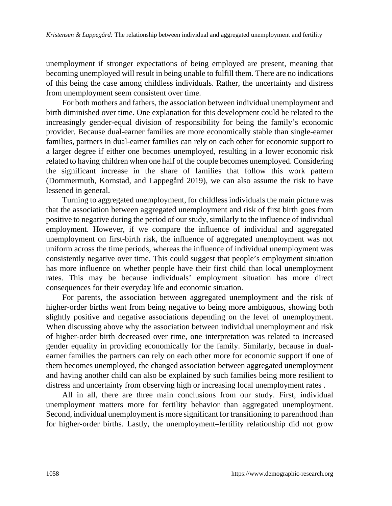unemployment if stronger expectations of being employed are present, meaning that becoming unemployed will result in being unable to fulfill them. There are no indications of this being the case among childless individuals. Rather, the uncertainty and distress from unemployment seem consistent over time.

For both mothers and fathers, the association between individual unemployment and birth diminished over time. One explanation for this development could be related to the increasingly gender-equal division of responsibility for being the family's economic provider. Because dual-earner families are more economically stable than single-earner families, partners in dual-earner families can rely on each other for economic support to a larger degree if either one becomes unemployed, resulting in a lower economic risk related to having children when one half of the couple becomes unemployed. Considering the significant increase in the share of families that follow this work pattern (Dommermuth, Kornstad, and Lappegård 2019), we can also assume the risk to have lessened in general.

Turning to aggregated unemployment, for childless individuals the main picture was that the association between aggregated unemployment and risk of first birth goes from positive to negative during the period of our study, similarly to the influence of individual employment. However, if we compare the influence of individual and aggregated unemployment on first-birth risk, the influence of aggregated unemployment was not uniform across the time periods, whereas the influence of individual unemployment was consistently negative over time. This could suggest that people's employment situation has more influence on whether people have their first child than local unemployment rates. This may be because individuals' employment situation has more direct consequences for their everyday life and economic situation.

For parents, the association between aggregated unemployment and the risk of higher-order births went from being negative to being more ambiguous, showing both slightly positive and negative associations depending on the level of unemployment. When discussing above why the association between individual unemployment and risk of higher-order birth decreased over time, one interpretation was related to increased gender equality in providing economically for the family. Similarly, because in dualearner families the partners can rely on each other more for economic support if one of them becomes unemployed, the changed association between aggregated unemployment and having another child can also be explained by such families being more resilient to distress and uncertainty from observing high or increasing local unemployment rates .

All in all, there are three main conclusions from our study. First, individual unemployment matters more for fertility behavior than aggregated unemployment. Second, individual unemployment is more significant for transitioning to parenthood than for higher-order births. Lastly, the unemployment–fertility relationship did not grow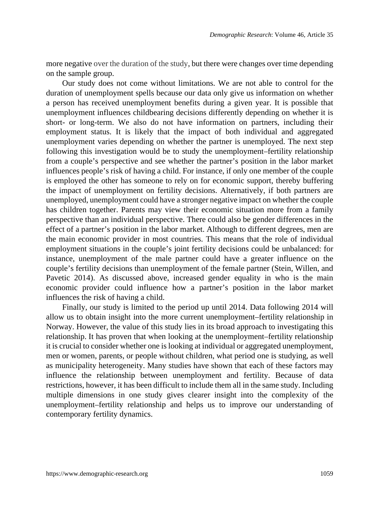more negative over the duration of the study, but there were changes over time depending on the sample group.

Our study does not come without limitations. We are not able to control for the duration of unemployment spells because our data only give us information on whether a person has received unemployment benefits during a given year. It is possible that unemployment influences childbearing decisions differently depending on whether it is short- or long-term. We also do not have information on partners, including their employment status. It is likely that the impact of both individual and aggregated unemployment varies depending on whether the partner is unemployed. The next step following this investigation would be to study the unemployment–fertility relationship from a couple's perspective and see whether the partner's position in the labor market influences people's risk of having a child. For instance, if only one member of the couple is employed the other has someone to rely on for economic support, thereby buffering the impact of unemployment on fertility decisions. Alternatively, if both partners are unemployed, unemployment could have a stronger negative impact on whether the couple has children together. Parents may view their economic situation more from a family perspective than an individual perspective. There could also be gender differences in the effect of a partner's position in the labor market. Although to different degrees, men are the main economic provider in most countries. This means that the role of individual employment situations in the couple's joint fertility decisions could be unbalanced: for instance, unemployment of the male partner could have a greater influence on the couple's fertility decisions than unemployment of the female partner (Stein, Willen, and Pavetic 2014). As discussed above, increased gender equality in who is the main economic provider could influence how a partner's position in the labor market influences the risk of having a child.

Finally, our study is limited to the period up until 2014. Data following 2014 will allow us to obtain insight into the more current unemployment–fertility relationship in Norway. However, the value of this study lies in its broad approach to investigating this relationship. It has proven that when looking at the unemployment–fertility relationship it is crucial to consider whether one is looking at individual or aggregated unemployment, men or women, parents, or people without children, what period one is studying, as well as municipality heterogeneity. Many studies have shown that each of these factors may influence the relationship between unemployment and fertility. Because of data restrictions, however, it has been difficult to include them all in the same study. Including multiple dimensions in one study gives clearer insight into the complexity of the unemployment–fertility relationship and helps us to improve our understanding of contemporary fertility dynamics.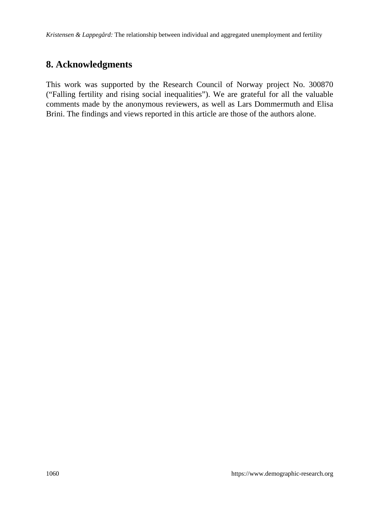*Kristensen & Lappegård:* The relationship between individual and aggregated unemployment and fertility

# **8. Acknowledgments**

This work was supported by the Research Council of Norway project No. 300870 ("Falling fertility and rising social inequalities"). We are grateful for all the valuable comments made by the anonymous reviewers, as well as Lars Dommermuth and Elisa Brini. The findings and views reported in this article are those of the authors alone.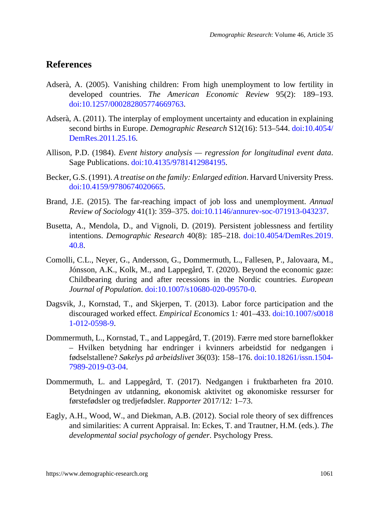# **References**

- Adserà, A. (2005). Vanishing children: From high unemployment to low fertility in developed countries. *The American Economic Review* 95(2): 189–193. [doi:10.1257/000282805774669763.](https://doi.org/10.1257/000282805774669763)
- Adserà, A. (2011). The interplay of employment uncertainty and education in explaining second births in Europe. *Demographic Research* S12(16): 513–544. [doi:10.4054/](https://doi.org/10.4054/DemRes.2011.25.16) [DemRes.2011.25.16](https://doi.org/10.4054/DemRes.2011.25.16).
- Allison, P.D. (1984). *Event history analysis regression for longitudinal event data*. Sage Publications. [doi:10.4135/9781412984195.](https://doi.org/10.4135/9781412984195)
- Becker, G.S. (1991). *A treatise on the family: Enlarged edition*. Harvard University Press. [doi:10.4159/9780674020665.](https://doi.org/10.4159/9780674020665)
- Brand, J.E. (2015). The far-reaching impact of job loss and unemployment. *Annual Review of Sociology* 41(1): 359–375. [doi:10.1146/annurev-soc-071913-043237](https://doi.org/10.1146/annurev-soc-071913-043237).
- Busetta, A., Mendola, D., and Vignoli, D. (2019). Persistent joblessness and fertility intentions. *Demographic Research* 40(8): 185–218. [doi:10.4054/DemRes.2019.](https://doi.org/10.4054/DemRes.2019.40.8) [40.8.](https://doi.org/10.4054/DemRes.2019.40.8)
- Comolli, C.L., Neyer, G., Andersson, G., Dommermuth, L., Fallesen, P., Jalovaara, M., Jónsson, A.K., Kolk, M., and Lappegård, T. (2020). Beyond the economic gaze: Childbearing during and after recessions in the Nordic countries. *European Journal of Population*. [doi:10.1007/s10680-020-09570-0.](https://doi.org/10.1007/s10680-020-09570-0)
- Dagsvik, J., Kornstad, T., and Skjerpen, T. (2013). Labor force participation and the discouraged worked effect. *Empirical Economics* 1*:* 401–433. [doi:10.1007/s0018](https://doi.org/10.1007/s00181-012-0598-9) [1-012-0598-9](https://doi.org/10.1007/s00181-012-0598-9).
- Dommermuth, L., Kornstad, T., and Lappegård, T. (2019). Færre med store barneflokker – Hvilken betydning har endringer i kvinners arbeidstid for nedgangen i fødselstallene? *Søkelys på arbeidslivet* 36(03): 158–176. [doi:10.18261/issn.1504-](https://doi.org/10.18261/issn.1504-7989-2019-03-04) [7989-2019-03-04](https://doi.org/10.18261/issn.1504-7989-2019-03-04).
- Dommermuth, L. and Lappegård, T. (2017). Nedgangen i fruktbarheten fra 2010. Betydningen av utdanning, økonomisk aktivitet og økonomiske ressurser for førstefødsler og tredjefødsler. *Rapporter* 2017/12*:* 1–73.
- Eagly, A.H., Wood, W., and Diekman, A.B. (2012). Social role theory of sex diffrences and similarities: A current Appraisal. In: Eckes, T. and Trautner, H.M. (eds.). *The developmental social psychology of gender*. Psychology Press.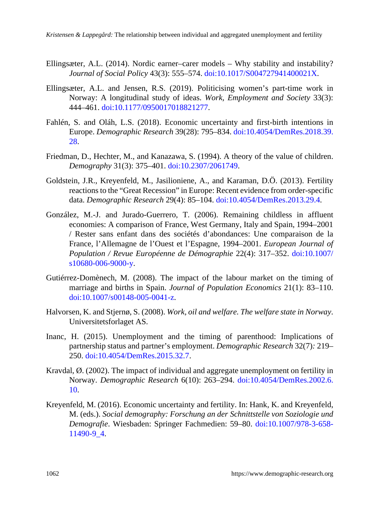- Ellingsæter, A.L. (2014). Nordic earner–carer models Why stability and instability? *Journal of Social Policy* 43(3): 555–574. [doi:10.1017/S004727941400021X](https://doi.org/10.1017/S004727941400021X).
- Ellingsæter, A.L. and Jensen, R.S. (2019). Politicising women's part-time work in Norway: A longitudinal study of ideas. *Work, Employment and Society* 33(3): 444–461. [doi:10.1177/0950017018821277.](https://doi.org/10.1177/0950017018821277)
- Fahlén, S. and Oláh, L.S. (2018). Economic uncertainty and first-birth intentions in Europe. *Demographic Research* 39(28): 795–834. [doi:10.4054/DemRes.2018.39.](https://doi.org/10.4054/DemRes.2018.39.28) [28](https://doi.org/10.4054/DemRes.2018.39.28).
- Friedman, D., Hechter, M., and Kanazawa, S. (1994). A theory of the value of children. *Demography* 31(3): 375–401. [doi:10.2307/2061749](https://doi.org/10.2307/2061749).
- Goldstein, J.R., Kreyenfeld, M., Jasilioniene, A., and Karaman, D.Ö. (2013). Fertility reactions to the "Great Recession" in Europe: Recent evidence from order-specific data. *Demographic Research* 29(4): 85–104. [doi:10.4054/DemRes.2013.29.4.](https://doi.org/10.4054/DemRes.2013.29.4)
- González, M.-J. and Jurado-Guerrero, T. (2006). Remaining childless in affluent economies: A comparison of France, West Germany, Italy and Spain, 1994–2001 / Rester sans enfant dans des sociétés d'abondances: Une comparaison de la France, l'Allemagne de l'Ouest et l'Espagne, 1994–2001. *European Journal of Population / Revue Européenne de Démographie* 22(4): 317–352. [doi:10.1007/](https://doi.org/10.1007/s10680-006-9000-y) [s10680-006-9000-y.](https://doi.org/10.1007/s10680-006-9000-y)
- Gutiérrez-Domènech, M. (2008). The impact of the labour market on the timing of marriage and births in Spain. *Journal of Population Economics* 21(1): 83–110. [doi:10.1007/s00148-005-0041-z](https://doi.org/10.1007/s00148-005-0041-z).
- Halvorsen, K. and Stjernø, S. (2008). *Work, oil and welfare. The welfare state in Norway*. Universitetsforlaget AS.
- Inanc, H. (2015). Unemployment and the timing of parenthood: Implications of partnership status and partner's employment. *Demographic Research* 32(7)*:* 219– 250. [doi:10.4054/DemRes.2015.32.7.](https://doi.org/10.4054/DemRes.2015.32.7)
- Kravdal, Ø. (2002). The impact of individual and aggregate unemployment on fertility in Norway. *Demographic Research* 6(10): 263–294. [doi:10.4054/DemRes.2002.6.](https://doi.org/10.4054/DemRes.2002.6.10) [10](https://doi.org/10.4054/DemRes.2002.6.10).
- Kreyenfeld, M. (2016). Economic uncertainty and fertility. In: Hank, K. and Kreyenfeld, M. (eds.). *Social demography: Forschung an der Schnittstelle von Soziologie und Demografie*. Wiesbaden: Springer Fachmedien: 59–80. [doi:10.1007/978-3-658-](https://doi.org/10.1007/978-3-658-11490-9_4) [11490-9\\_4.](https://doi.org/10.1007/978-3-658-11490-9_4)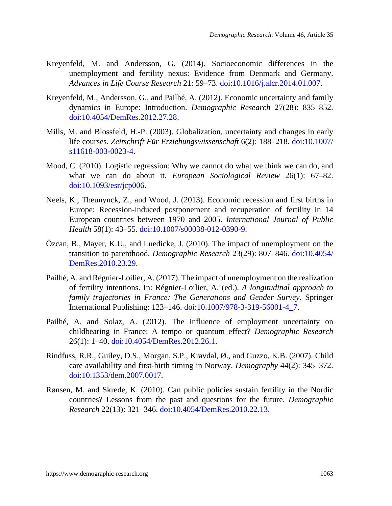- Kreyenfeld, M. and Andersson, G. (2014). Socioeconomic differences in the unemployment and fertility nexus: Evidence from Denmark and Germany. *Advances in Life Course Research* 21: 59–73. [doi:10.1016/j.alcr.2014.01.007](https://doi.org/10.1016/j.alcr.2014.01.007).
- Kreyenfeld, M., Andersson, G., and Pailhé, A. (2012). Economic uncertainty and family dynamics in Europe: Introduction. *Demographic Research* 27(28): 835–852. [doi:10.4054/DemRes.2012.27.28.](https://doi.org/10.4054/DemRes.2012.27.28)
- Mills, M. and Blossfeld, H.-P. (2003). Globalization, uncertainty and changes in early life courses. *Zeitschrift Für Erziehungswissenschaft* 6(2): 188–218. [doi:10.1007/](https://doi.org/10.1007/s11618-003-0023-4) [s11618-003-0023-4.](https://doi.org/10.1007/s11618-003-0023-4)
- Mood, C. (2010). Logistic regression: Why we cannot do what we think we can do, and what we can do about it. *European Sociological Review* 26(1): 67–82. [doi:10.1093/esr/jcp006.](https://doi.org/10.1093/esr/jcp006)
- Neels, K., Theunynck, Z., and Wood, J. (2013). Economic recession and first births in Europe: Recession-induced postponement and recuperation of fertility in 14 European countries between 1970 and 2005. *International Journal of Public Health* 58(1): 43–55. [doi:10.1007/s00038-012-0390-9.](https://doi.org/10.1007/s00038-012-0390-9)
- Özcan, B., Mayer, K.U., and Luedicke, J. (2010). The impact of unemployment on the transition to parenthood. *Demographic Research* 23(29): 807–846. [doi:10.4054/](https://doi.org/10.4054/DemRes.2012.26.1) [DemRes.2010.23.2](https://doi.org/10.4054/DemRes.2012.26.1)9.
- Pailhé, A. and Régnier-Loilier, A. (2017). The impact of unemployment on the realization of fertility intentions. In: Régnier-Loilier, A. (ed.). *A longitudinal approach to family trajectories in France: The Generations and Gender Survey*. Springer International Publishing: 123–146. [doi:10.1007/978-3-319-56001-4\\_7.](https://doi.org/10.1007/978-3-319-56001-4_7)
- Pailhé, A. and Solaz, A. (2012). The influence of employment uncertainty on childbearing in France: A tempo or quantum effect? *Demographic Research* 26(1): 1–40. [doi:10.4054/DemRes.2012.26.1.](https://doi.org/10.4054/DemRes.2012.26.1)
- Rindfuss, R.R., Guiley, D.S., Morgan, S.P., Kravdal, Ø., and Guzzo, K.B. (2007). Child care availability and first-birth timing in Norway. *Demography* 44(2): 345–372. [doi:10.1353/dem.2007.0017.](https://doi.org/10.1353/dem.2007.0017)
- Rønsen, M. and Skrede, K. (2010). Can public policies sustain fertility in the Nordic countries? Lessons from the past and questions for the future. *Demographic Research* 22(13): 321–346. [doi:10.4054/DemRes.2010.22.13.](https://doi.org/10.4054/DemRes.2010.22.13)